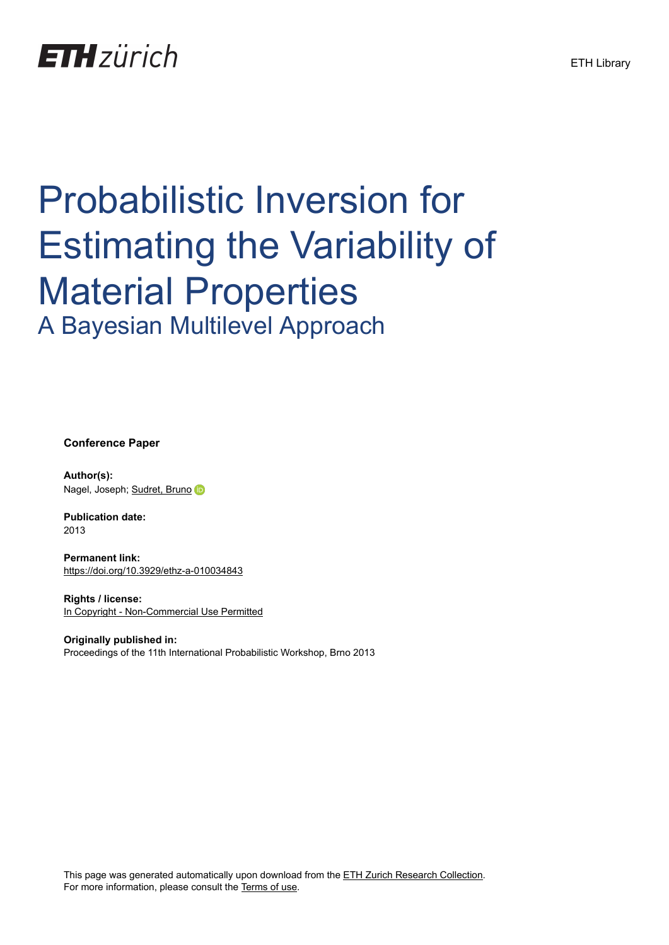## **ETH**zürich

# Probabilistic Inversion for Estimating the Variability of Material Properties A Bayesian Multilevel Approach

**Conference Paper**

**Author(s):** Nagel, Joseph; [Sudret, Bruno](https://orcid.org/0000-0002-9501-7395)

**Publication date:** 2013

**Permanent link:** <https://doi.org/10.3929/ethz-a-010034843>

**Rights / license:** [In Copyright - Non-Commercial Use Permitted](http://rightsstatements.org/page/InC-NC/1.0/)

**Originally published in:** Proceedings of the 11th International Probabilistic Workshop, Brno 2013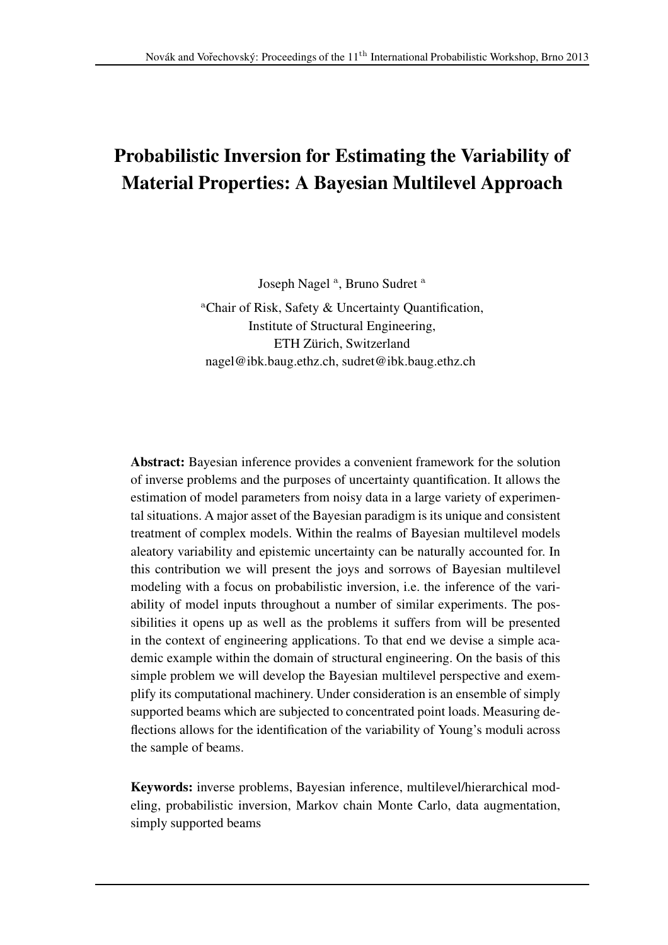## Probabilistic Inversion for Estimating the Variability of Material Properties: A Bayesian Multilevel Approach

Joseph Nagel<sup>a</sup>, Bruno Sudret<sup>a</sup>

<sup>a</sup>Chair of Risk, Safety & Uncertainty Quantification, Institute of Structural Engineering, ETH Zürich, Switzerland nagel@ibk.baug.ethz.ch, sudret@ibk.baug.ethz.ch

Abstract: Bayesian inference provides a convenient framework for the solution of inverse problems and the purposes of uncertainty quantification. It allows the estimation of model parameters from noisy data in a large variety of experimental situations. A major asset of the Bayesian paradigm is its unique and consistent treatment of complex models. Within the realms of Bayesian multilevel models aleatory variability and epistemic uncertainty can be naturally accounted for. In this contribution we will present the joys and sorrows of Bayesian multilevel modeling with a focus on probabilistic inversion, i.e. the inference of the variability of model inputs throughout a number of similar experiments. The possibilities it opens up as well as the problems it suffers from will be presented in the context of engineering applications. To that end we devise a simple academic example within the domain of structural engineering. On the basis of this simple problem we will develop the Bayesian multilevel perspective and exemplify its computational machinery. Under consideration is an ensemble of simply supported beams which are subjected to concentrated point loads. Measuring deflections allows for the identification of the variability of Young's moduli across the sample of beams.

Keywords: inverse problems, Bayesian inference, multilevel/hierarchical modeling, probabilistic inversion, Markov chain Monte Carlo, data augmentation, simply supported beams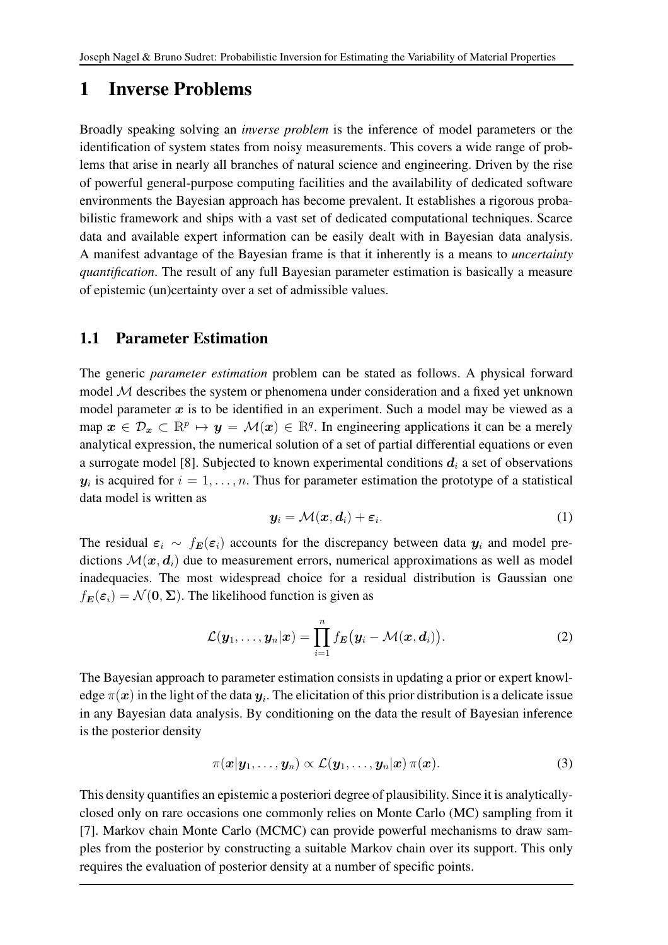## 1 Inverse Problems

Broadly speaking solving an *inverse problem* is the inference of model parameters or the identification of system states from noisy measurements. This covers a wide range of problems that arise in nearly all branches of natural science and engineering. Driven by the rise of powerful general-purpose computing facilities and the availability of dedicated software environments the Bayesian approach has become prevalent. It establishes a rigorous probabilistic framework and ships with a vast set of dedicated computational techniques. Scarce data and available expert information can be easily dealt with in Bayesian data analysis. A manifest advantage of the Bayesian frame is that it inherently is a means to *uncertainty quantification*. The result of any full Bayesian parameter estimation is basically a measure of epistemic (un)certainty over a set of admissible values.

#### 1.1 Parameter Estimation

The generic *parameter estimation* problem can be stated as follows. A physical forward model M describes the system or phenomena under consideration and a fixed yet unknown model parameter  $x$  is to be identified in an experiment. Such a model may be viewed as a map  $x \in \mathcal{D}_x \subset \mathbb{R}^p \mapsto y = \mathcal{M}(x) \in \mathbb{R}^q$ . In engineering applications it can be a merely analytical expression, the numerical solution of a set of partial differential equations or even a surrogate model [8]. Subjected to known experimental conditions  $d_i$  a set of observations  $y_i$  is acquired for  $i = 1, \ldots, n$ . Thus for parameter estimation the prototype of a statistical data model is written as

$$
\mathbf{y}_i = \mathcal{M}(\mathbf{x}, \mathbf{d}_i) + \boldsymbol{\varepsilon}_i. \tag{1}
$$

The residual  $\varepsilon_i \sim f_E(\varepsilon_i)$  accounts for the discrepancy between data  $y_i$  and model predictions  $\mathcal{M}(x, d_i)$  due to measurement errors, numerical approximations as well as model inadequacies. The most widespread choice for a residual distribution is Gaussian one  $f_E(\varepsilon_i) = \mathcal{N}(0, \Sigma)$ . The likelihood function is given as

$$
\mathcal{L}(\boldsymbol{y}_1,\ldots,\boldsymbol{y}_n|\boldsymbol{x})=\prod_{i=1}^n f_{\boldsymbol{E}}(\boldsymbol{y}_i-\mathcal{M}(\boldsymbol{x},\boldsymbol{d}_i)).
$$
\n(2)

The Bayesian approach to parameter estimation consists in updating a prior or expert knowledge  $\pi(\bm{x})$  in the light of the data  $\bm{y}_i$ . The elicitation of this prior distribution is a delicate issue in any Bayesian data analysis. By conditioning on the data the result of Bayesian inference is the posterior density

$$
\pi(\boldsymbol{x}|\boldsymbol{y}_1,\ldots,\boldsymbol{y}_n)\propto\mathcal{L}(\boldsymbol{y}_1,\ldots,\boldsymbol{y}_n|\boldsymbol{x})\,\pi(\boldsymbol{x}).
$$
\n(3)

This density quantifies an epistemic a posteriori degree of plausibility. Since it is analyticallyclosed only on rare occasions one commonly relies on Monte Carlo (MC) sampling from it [7]. Markov chain Monte Carlo (MCMC) can provide powerful mechanisms to draw samples from the posterior by constructing a suitable Markov chain over its support. This only requires the evaluation of posterior density at a number of specific points.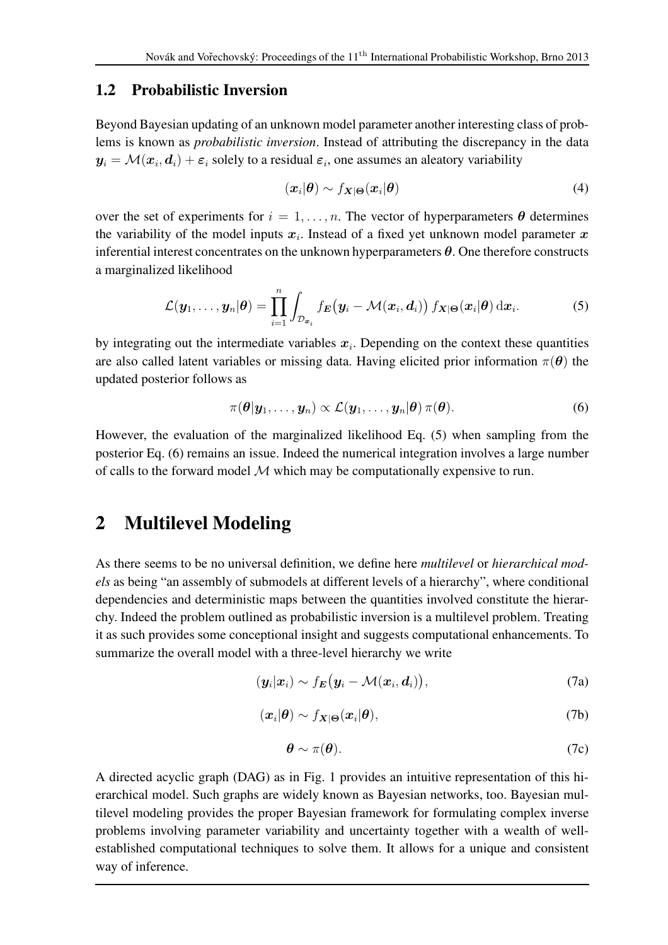#### 1.2 Probabilistic Inversion

Beyond Bayesian updating of an unknown model parameter another interesting class of problems is known as *probabilistic inversion*. Instead of attributing the discrepancy in the data  $y_i = \mathcal{M}(\bm{x}_i, \bm{d}_i) + \boldsymbol{\varepsilon}_i$  solely to a residual  $\boldsymbol{\varepsilon}_i$ , one assumes an aleatory variability

$$
(\boldsymbol{x}_i|\boldsymbol{\theta}) \sim f_{\boldsymbol{X}|\boldsymbol{\Theta}}(\boldsymbol{x}_i|\boldsymbol{\theta})
$$
\n(4)

over the set of experiments for  $i = 1, \ldots, n$ . The vector of hyperparameters  $\theta$  determines the variability of the model inputs  $x_i$ . Instead of a fixed yet unknown model parameter x inferential interest concentrates on the unknown hyperparameters  $\theta$ . One therefore constructs a marginalized likelihood

$$
\mathcal{L}(\boldsymbol{y}_1,\ldots,\boldsymbol{y}_n|\boldsymbol{\theta})=\prod_{i=1}^n\int_{\mathcal{D}_{\boldsymbol{x}_i}}f_{\boldsymbol{E}}\big(\boldsymbol{y}_i-\mathcal{M}(\boldsymbol{x}_i,\boldsymbol{d}_i)\big)\,f_{\boldsymbol{X}|\boldsymbol{\Theta}}(\boldsymbol{x}_i|\boldsymbol{\theta})\,\mathrm{d}\boldsymbol{x}_i.
$$
 (5)

by integrating out the intermediate variables  $x_i$ . Depending on the context these quantities are also called latent variables or missing data. Having elicited prior information  $\pi(\theta)$  the updated posterior follows as

$$
\pi(\boldsymbol{\theta}|\mathbf{y}_1,\ldots,\mathbf{y}_n) \propto \mathcal{L}(\mathbf{y}_1,\ldots,\mathbf{y}_n|\boldsymbol{\theta}) \,\pi(\boldsymbol{\theta}). \tag{6}
$$

However, the evaluation of the marginalized likelihood Eq. (5) when sampling from the posterior Eq. (6) remains an issue. Indeed the numerical integration involves a large number of calls to the forward model  $M$  which may be computationally expensive to run.

### 2 Multilevel Modeling

As there seems to be no universal definition, we define here *multilevel* or *hierarchical models* as being "an assembly of submodels at different levels of a hierarchy", where conditional dependencies and deterministic maps between the quantities involved constitute the hierarchy. Indeed the problem outlined as probabilistic inversion is a multilevel problem. Treating it as such provides some conceptional insight and suggests computational enhancements. To summarize the overall model with a three-level hierarchy we write

$$
(\boldsymbol{y}_i|\boldsymbol{x}_i) \sim f_{\boldsymbol{E}}(\boldsymbol{y}_i - \mathcal{M}(\boldsymbol{x}_i, \boldsymbol{d}_i)), \tag{7a}
$$

$$
(\boldsymbol{x}_i|\boldsymbol{\theta}) \sim f_{\boldsymbol{X}|\boldsymbol{\Theta}}(\boldsymbol{x}_i|\boldsymbol{\theta}),\tag{7b}
$$

$$
\boldsymbol{\theta} \sim \pi(\boldsymbol{\theta}).\tag{7c}
$$

A directed acyclic graph (DAG) as in Fig. 1 provides an intuitive representation of this hierarchical model. Such graphs are widely known as Bayesian networks, too. Bayesian multilevel modeling provides the proper Bayesian framework for formulating complex inverse problems involving parameter variability and uncertainty together with a wealth of wellestablished computational techniques to solve them. It allows for a unique and consistent way of inference.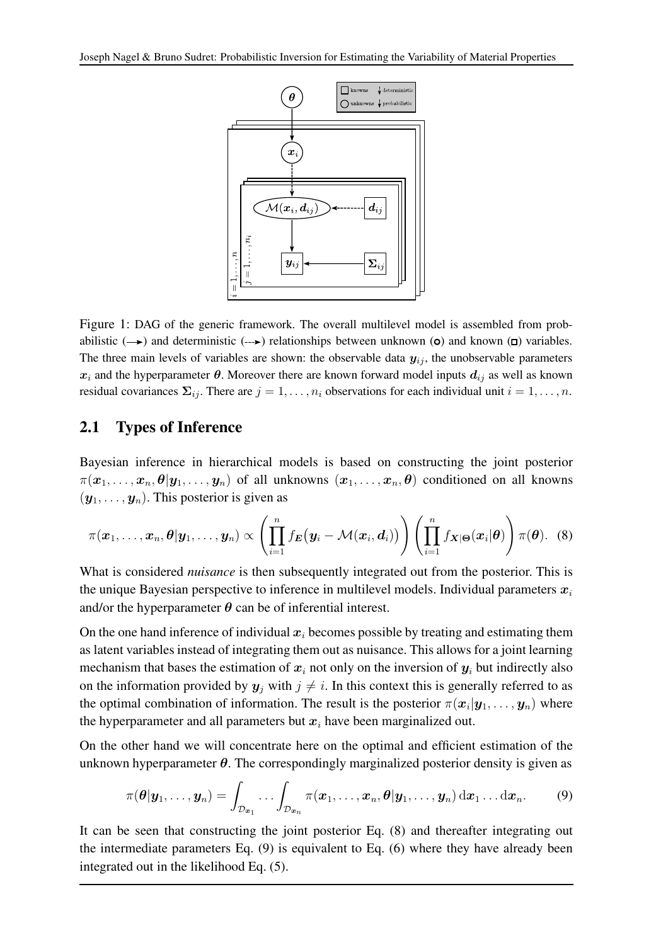

Figure 1: DAG of the generic framework. The overall multilevel model is assembled from probabilistic  $(\rightarrow)$  and deterministic  $(\rightarrow)$  relationships between unknown (**o**) and known (**D**) variables. The three main levels of variables are shown: the observable data  $y_{ij}$ , the unobservable parameters  $x_i$  and the hyperparameter  $\theta$ . Moreover there are known forward model inputs  $d_{ij}$  as well as known residual covariances  $\Sigma_{ij}$ . There are  $j = 1, \ldots, n_i$  observations for each individual unit  $i = 1, \ldots, n$ .

#### 2.1 Types of Inference

Bayesian inference in hierarchical models is based on constructing the joint posterior  $\pi(x_1,\ldots,x_n,\theta|y_1,\ldots,y_n)$  of all unknowns  $(x_1,\ldots,x_n,\theta)$  conditioned on all knowns  $(y_1, \ldots, y_n)$ . This posterior is given as

$$
\pi(\boldsymbol{x}_1,\ldots,\boldsymbol{x}_n,\boldsymbol{\theta}|\boldsymbol{y}_1,\ldots,\boldsymbol{y}_n)\propto\left(\prod_{i=1}^nf_{\boldsymbol{E}}\big(\boldsymbol{y}_i-\mathcal{M}(\boldsymbol{x}_i,\boldsymbol{d}_i)\big)\right)\left(\prod_{i=1}^nf_{\boldsymbol{X}|\boldsymbol{\Theta}}(\boldsymbol{x}_i|\boldsymbol{\theta})\right)\pi(\boldsymbol{\theta}).\quad (8)
$$

What is considered *nuisance* is then subsequently integrated out from the posterior. This is the unique Bayesian perspective to inference in multilevel models. Individual parameters  $x_i$ and/or the hyperparameter  $\theta$  can be of inferential interest.

On the one hand inference of individual  $x_i$  becomes possible by treating and estimating them as latent variables instead of integrating them out as nuisance. This allows for a joint learning mechanism that bases the estimation of  $x_i$  not only on the inversion of  $y_i$  but indirectly also on the information provided by  $y_j$  with  $j \neq i$ . In this context this is generally referred to as the optimal combination of information. The result is the posterior  $\pi(\bm{x}_i|\bm{y}_1,\dots,\bm{y}_n)$  where the hyperparameter and all parameters but  $x_i$  have been marginalized out.

On the other hand we will concentrate here on the optimal and efficient estimation of the unknown hyperparameter  $\theta$ . The correspondingly marginalized posterior density is given as

$$
\pi(\boldsymbol{\theta}|\boldsymbol{y}_1,\ldots,\boldsymbol{y}_n)=\int_{\mathcal{D}_{\boldsymbol{x}_1}}\ldots\int_{\mathcal{D}_{\boldsymbol{x}_n}}\pi(\boldsymbol{x}_1,\ldots,\boldsymbol{x}_n,\boldsymbol{\theta}|\boldsymbol{y}_1,\ldots,\boldsymbol{y}_n)\,\mathrm{d}\boldsymbol{x}_1\ldots\mathrm{d}\boldsymbol{x}_n.\tag{9}
$$

It can be seen that constructing the joint posterior Eq. (8) and thereafter integrating out the intermediate parameters Eq. (9) is equivalent to Eq. (6) where they have already been integrated out in the likelihood Eq. (5).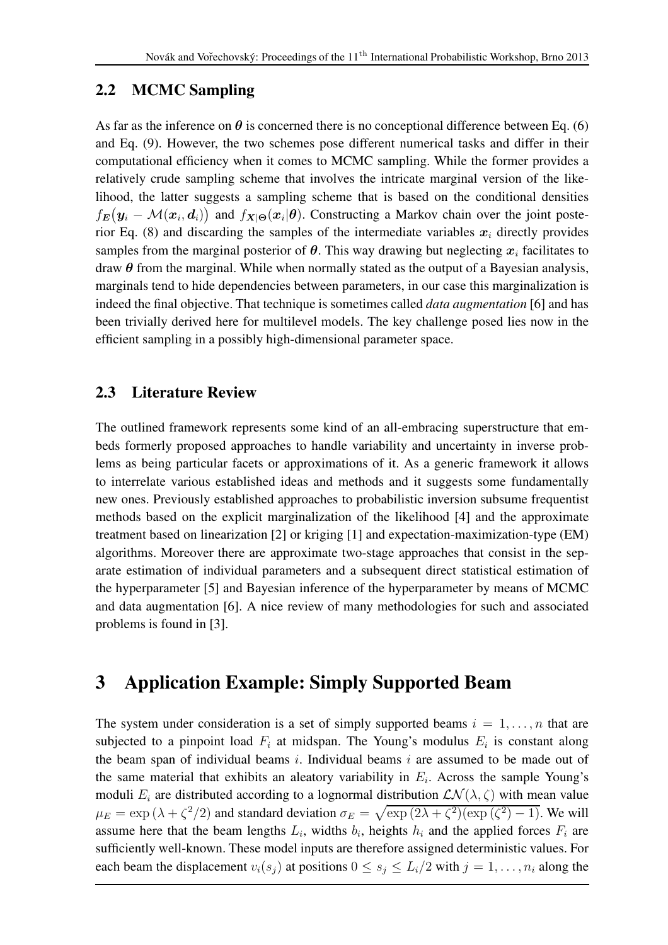#### 2.2 MCMC Sampling

As far as the inference on  $\theta$  is concerned there is no conceptional difference between Eq. (6) and Eq. (9). However, the two schemes pose different numerical tasks and differ in their computational efficiency when it comes to MCMC sampling. While the former provides a relatively crude sampling scheme that involves the intricate marginal version of the likelihood, the latter suggests a sampling scheme that is based on the conditional densities  $f_E(y_i - \mathcal{M}(x_i, d_i))$  and  $f_{X|\Theta}(x_i|\theta)$ . Constructing a Markov chain over the joint posterior Eq. (8) and discarding the samples of the intermediate variables  $x_i$  directly provides samples from the marginal posterior of  $\theta$ . This way drawing but neglecting  $x_i$  facilitates to draw  $\theta$  from the marginal. While when normally stated as the output of a Bayesian analysis, marginals tend to hide dependencies between parameters, in our case this marginalization is indeed the final objective. That technique is sometimes called *data augmentation* [6] and has been trivially derived here for multilevel models. The key challenge posed lies now in the efficient sampling in a possibly high-dimensional parameter space.

#### 2.3 Literature Review

The outlined framework represents some kind of an all-embracing superstructure that embeds formerly proposed approaches to handle variability and uncertainty in inverse problems as being particular facets or approximations of it. As a generic framework it allows to interrelate various established ideas and methods and it suggests some fundamentally new ones. Previously established approaches to probabilistic inversion subsume frequentist methods based on the explicit marginalization of the likelihood [4] and the approximate treatment based on linearization [2] or kriging [1] and expectation-maximization-type (EM) algorithms. Moreover there are approximate two-stage approaches that consist in the separate estimation of individual parameters and a subsequent direct statistical estimation of the hyperparameter [5] and Bayesian inference of the hyperparameter by means of MCMC and data augmentation [6]. A nice review of many methodologies for such and associated problems is found in [3].

## 3 Application Example: Simply Supported Beam

The system under consideration is a set of simply supported beams  $i = 1, \ldots, n$  that are subjected to a pinpoint load  $F_i$  at midspan. The Young's modulus  $E_i$  is constant along the beam span of individual beams  $i$ . Individual beams  $i$  are assumed to be made out of the same material that exhibits an aleatory variability in  $E_i$ . Across the sample Young's moduli  $E_i$  are distributed according to a lognormal distribution  $\mathcal{LN}(\lambda, \zeta)$  with mean value  $\mu_E = \exp(\lambda + \zeta^2/2)$  and standard deviation  $\sigma_E = \sqrt{\exp((2\lambda + \zeta^2)(\exp((\zeta^2) - 1))})$ . We will assume here that the beam lengths  $L_i$ , widths  $b_i$ , heights  $h_i$  and the applied forces  $F_i$  are sufficiently well-known. These model inputs are therefore assigned deterministic values. For each beam the displacement  $v_i(s_j)$  at positions  $0 \le s_j \le L_i/2$  with  $j = 1, \ldots, n_i$  along the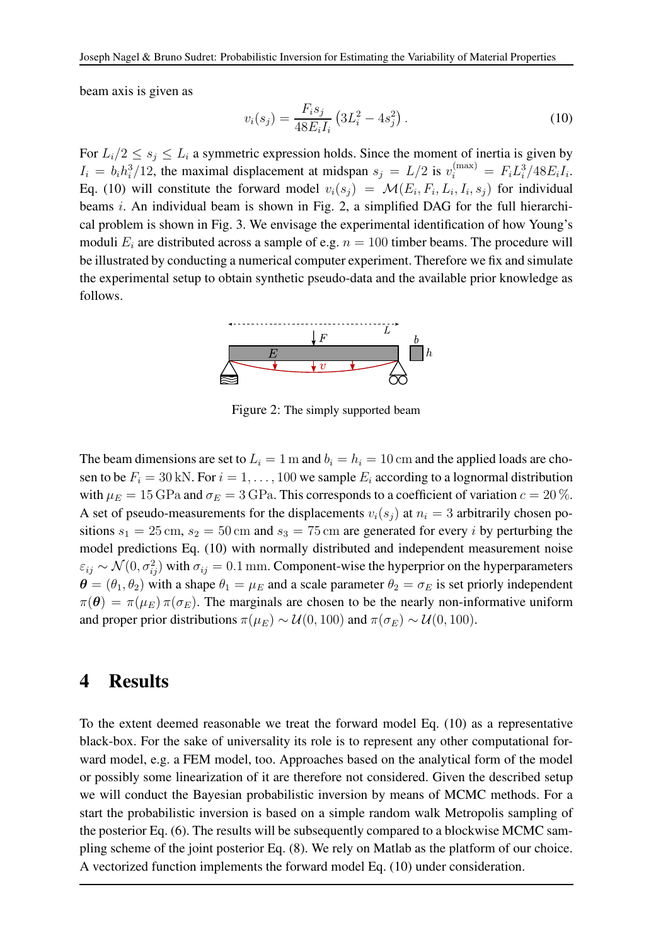beam axis is given as

$$
v_i(s_j) = \frac{F_i s_j}{48 E_i I_i} \left( 3L_i^2 - 4s_j^2 \right).
$$
 (10)

For  $L_i/2 \leq s_i \leq L_i$  a symmetric expression holds. Since the moment of inertia is given by  $I_i = b_i h_i^3/12$ , the maximal displacement at midspan  $s_j = L/2$  is  $v_i^{(\text{max})} = F_i L_i^3/48E_i I_i$ . Eq. (10) will constitute the forward model  $v_i(s_j) = \mathcal{M}(E_i, F_i, L_i, I_i, s_j)$  for individual beams i. An individual beam is shown in Fig. 2, a simplified DAG for the full hierarchical problem is shown in Fig. 3. We envisage the experimental identification of how Young's moduli  $E_i$  are distributed across a sample of e.g.  $n = 100$  timber beams. The procedure will be illustrated by conducting a numerical computer experiment. Therefore we fix and simulate the experimental setup to obtain synthetic pseudo-data and the available prior knowledge as follows.



Figure 2: The simply supported beam

The beam dimensions are set to  $L_i = 1$  m and  $b_i = h_i = 10$  cm and the applied loads are chosen to be  $F_i = 30$  kN. For  $i = 1, \ldots, 100$  we sample  $E_i$  according to a lognormal distribution with  $\mu_E = 15$  GPa and  $\sigma_E = 3$  GPa. This corresponds to a coefficient of variation  $c = 20$ %. A set of pseudo-measurements for the displacements  $v_i(s_j)$  at  $n_i = 3$  arbitrarily chosen positions  $s_1 = 25$  cm,  $s_2 = 50$  cm and  $s_3 = 75$  cm are generated for every *i* by perturbing the model predictions Eq. (10) with normally distributed and independent measurement noise  $\varepsilon_{ij} \sim \mathcal{N}(0, \sigma_{ij}^2)$  with  $\sigma_{ij} = 0.1$  mm. Component-wise the hyperprior on the hyperparameters  $\theta = (\theta_1, \theta_2)$  with a shape  $\theta_1 = \mu_E$  and a scale parameter  $\theta_2 = \sigma_E$  is set priorly independent  $\pi(\theta) = \pi(\mu_E) \pi(\sigma_E)$ . The marginals are chosen to be the nearly non-informative uniform and proper prior distributions  $\pi(\mu_E) \sim \mathcal{U}(0, 100)$  and  $\pi(\sigma_E) \sim \mathcal{U}(0, 100)$ .

#### 4 Results

To the extent deemed reasonable we treat the forward model Eq. (10) as a representative black-box. For the sake of universality its role is to represent any other computational forward model, e.g. a FEM model, too. Approaches based on the analytical form of the model or possibly some linearization of it are therefore not considered. Given the described setup we will conduct the Bayesian probabilistic inversion by means of MCMC methods. For a start the probabilistic inversion is based on a simple random walk Metropolis sampling of the posterior Eq. (6). The results will be subsequently compared to a blockwise MCMC sampling scheme of the joint posterior Eq. (8). We rely on Matlab as the platform of our choice. A vectorized function implements the forward model Eq. (10) under consideration.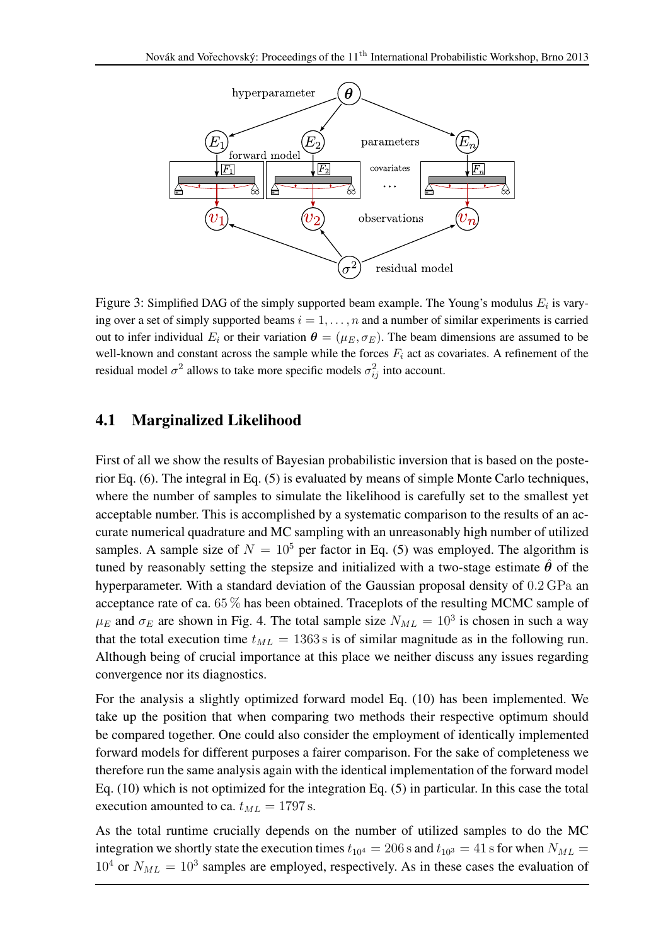

Figure 3: Simplified DAG of the simply supported beam example. The Young's modulus  $E_i$  is varying over a set of simply supported beams  $i = 1, \ldots, n$  and a number of similar experiments is carried out to infer individual  $E_i$  or their variation  $\theta = (\mu_E, \sigma_E)$ . The beam dimensions are assumed to be well-known and constant across the sample while the forces  $F_i$  act as covariates. A refinement of the residual model  $\sigma^2$  allows to take more specific models  $\sigma_{ij}^2$  into account.

#### 4.1 Marginalized Likelihood

First of all we show the results of Bayesian probabilistic inversion that is based on the posterior Eq. (6). The integral in Eq. (5) is evaluated by means of simple Monte Carlo techniques, where the number of samples to simulate the likelihood is carefully set to the smallest yet acceptable number. This is accomplished by a systematic comparison to the results of an accurate numerical quadrature and MC sampling with an unreasonably high number of utilized samples. A sample size of  $N = 10^5$  per factor in Eq. (5) was employed. The algorithm is tuned by reasonably setting the stepsize and initialized with a two-stage estimate  $\hat{\theta}$  of the hyperparameter. With a standard deviation of the Gaussian proposal density of 0.2 GPa an acceptance rate of ca. 65 % has been obtained. Traceplots of the resulting MCMC sample of  $\mu_E$  and  $\sigma_E$  are shown in Fig. 4. The total sample size  $N_{ML} = 10^3$  is chosen in such a way that the total execution time  $t_{ML} = 1363$  s is of similar magnitude as in the following run. Although being of crucial importance at this place we neither discuss any issues regarding convergence nor its diagnostics.

For the analysis a slightly optimized forward model Eq. (10) has been implemented. We take up the position that when comparing two methods their respective optimum should be compared together. One could also consider the employment of identically implemented forward models for different purposes a fairer comparison. For the sake of completeness we therefore run the same analysis again with the identical implementation of the forward model Eq. (10) which is not optimized for the integration Eq. (5) in particular. In this case the total execution amounted to ca.  $t_{ML} = 1797$  s.

As the total runtime crucially depends on the number of utilized samples to do the MC integration we shortly state the execution times  $t_{10^4} = 206$  s and  $t_{10^3} = 41$  s for when  $N_{ML} =$  $10^4$  or  $N_{ML} = 10^3$  samples are employed, respectively. As in these cases the evaluation of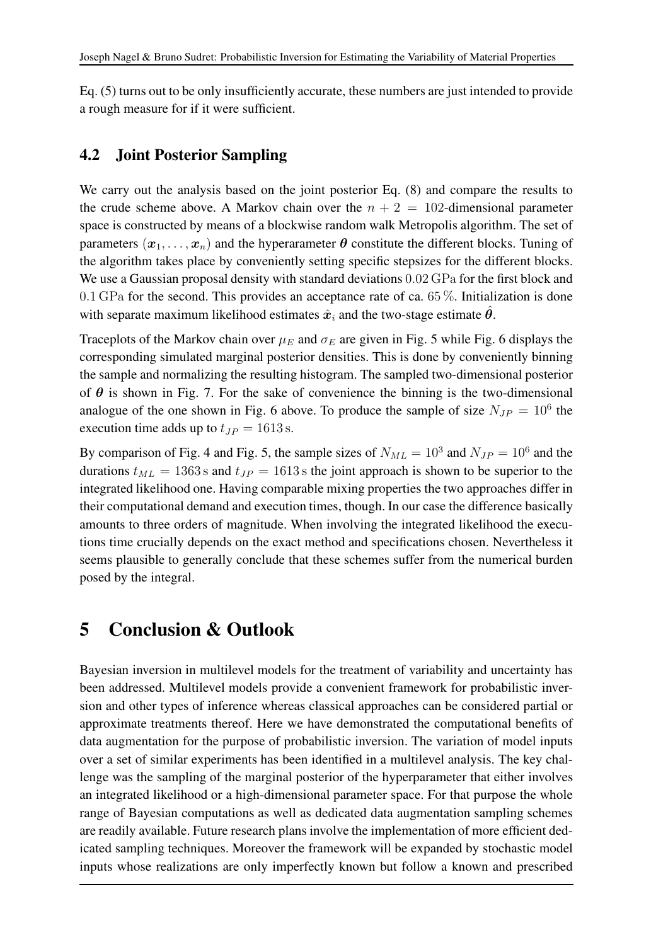Eq. (5) turns out to be only insufficiently accurate, these numbers are just intended to provide a rough measure for if it were sufficient.

#### 4.2 Joint Posterior Sampling

We carry out the analysis based on the joint posterior Eq.  $(8)$  and compare the results to the crude scheme above. A Markov chain over the  $n + 2 = 102$ -dimensional parameter space is constructed by means of a blockwise random walk Metropolis algorithm. The set of parameters  $(x_1, \ldots, x_n)$  and the hyperarameter  $\theta$  constitute the different blocks. Tuning of the algorithm takes place by conveniently setting specific stepsizes for the different blocks. We use a Gaussian proposal density with standard deviations  $0.02$  GPa for the first block and 0.1 GPa for the second. This provides an acceptance rate of ca.  $65\%$ . Initialization is done with separate maximum likelihood estimates  $\hat{x}_i$  and the two-stage estimate  $\hat{\theta}$ .

Traceplots of the Markov chain over  $\mu_E$  and  $\sigma_E$  are given in Fig. 5 while Fig. 6 displays the corresponding simulated marginal posterior densities. This is done by conveniently binning the sample and normalizing the resulting histogram. The sampled two-dimensional posterior of  $\theta$  is shown in Fig. 7. For the sake of convenience the binning is the two-dimensional analogue of the one shown in Fig. 6 above. To produce the sample of size  $N_{JP} = 10^6$  the execution time adds up to  $t_{JP} = 1613$  s.

By comparison of Fig. 4 and Fig. 5, the sample sizes of  $N_{ML} = 10^3$  and  $N_{JP} = 10^6$  and the durations  $t_{ML} = 1363$  s and  $t_{JP} = 1613$  s the joint approach is shown to be superior to the integrated likelihood one. Having comparable mixing properties the two approaches differ in their computational demand and execution times, though. In our case the difference basically amounts to three orders of magnitude. When involving the integrated likelihood the executions time crucially depends on the exact method and specifications chosen. Nevertheless it seems plausible to generally conclude that these schemes suffer from the numerical burden posed by the integral.

## 5 Conclusion & Outlook

Bayesian inversion in multilevel models for the treatment of variability and uncertainty has been addressed. Multilevel models provide a convenient framework for probabilistic inversion and other types of inference whereas classical approaches can be considered partial or approximate treatments thereof. Here we have demonstrated the computational benefits of data augmentation for the purpose of probabilistic inversion. The variation of model inputs over a set of similar experiments has been identified in a multilevel analysis. The key challenge was the sampling of the marginal posterior of the hyperparameter that either involves an integrated likelihood or a high-dimensional parameter space. For that purpose the whole range of Bayesian computations as well as dedicated data augmentation sampling schemes are readily available. Future research plans involve the implementation of more efficient dedicated sampling techniques. Moreover the framework will be expanded by stochastic model inputs whose realizations are only imperfectly known but follow a known and prescribed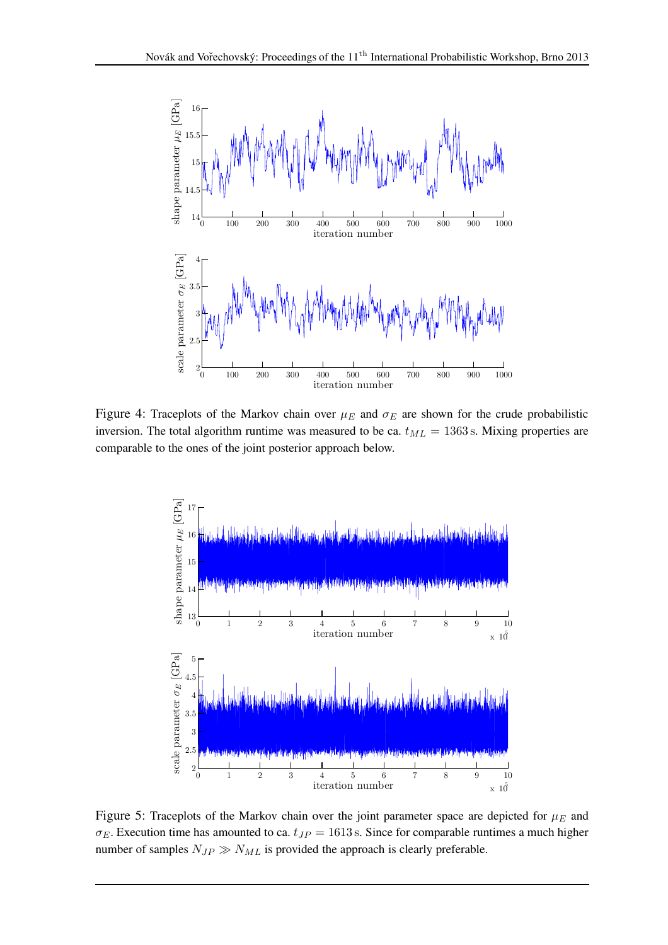

Figure 4: Traceplots of the Markov chain over  $\mu_E$  and  $\sigma_E$  are shown for the crude probabilistic inversion. The total algorithm runtime was measured to be ca.  $t_{ML} = 1363$  s. Mixing properties are comparable to the ones of the joint posterior approach below.



Figure 5: Traceplots of the Markov chain over the joint parameter space are depicted for  $\mu_E$  and  $\sigma_E$ . Execution time has amounted to ca.  $t_{JP} = 1613$  s. Since for comparable runtimes a much higher number of samples  $N_{JP} \gg N_{ML}$  is provided the approach is clearly preferable.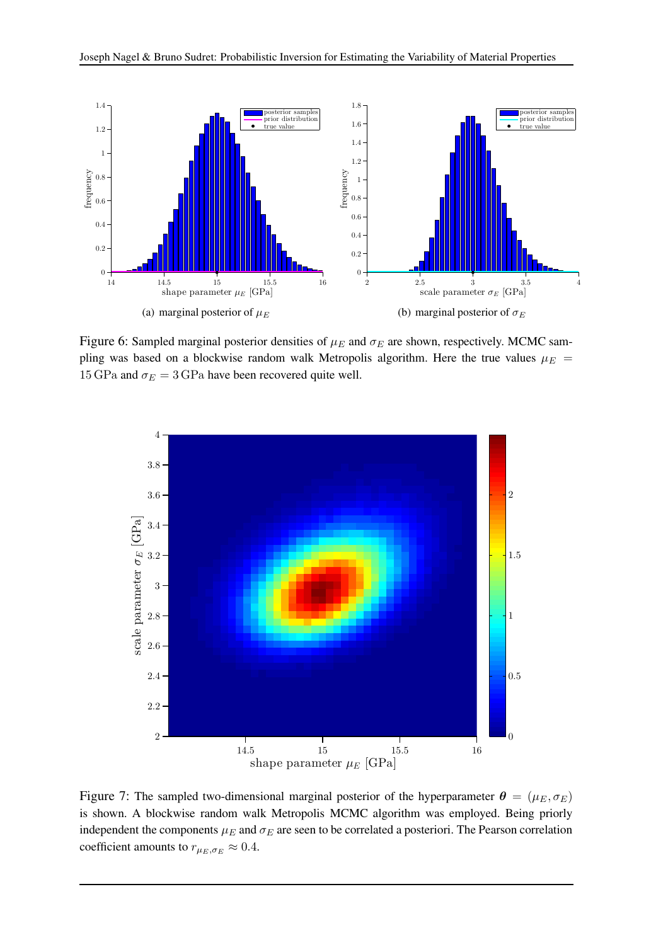

Figure 6: Sampled marginal posterior densities of  $\mu_E$  and  $\sigma_E$  are shown, respectively. MCMC sampling was based on a blockwise random walk Metropolis algorithm. Here the true values  $\mu_E$  = 15 GPa and  $\sigma_E = 3$  GPa have been recovered quite well.



Figure 7: The sampled two-dimensional marginal posterior of the hyperparameter  $\theta = (\mu_E, \sigma_E)$ is shown. A blockwise random walk Metropolis MCMC algorithm was employed. Being priorly independent the components  $\mu_E$  and  $\sigma_E$  are seen to be correlated a posteriori. The Pearson correlation coefficient amounts to  $r_{\mu_E, \sigma_E} \approx 0.4$ .